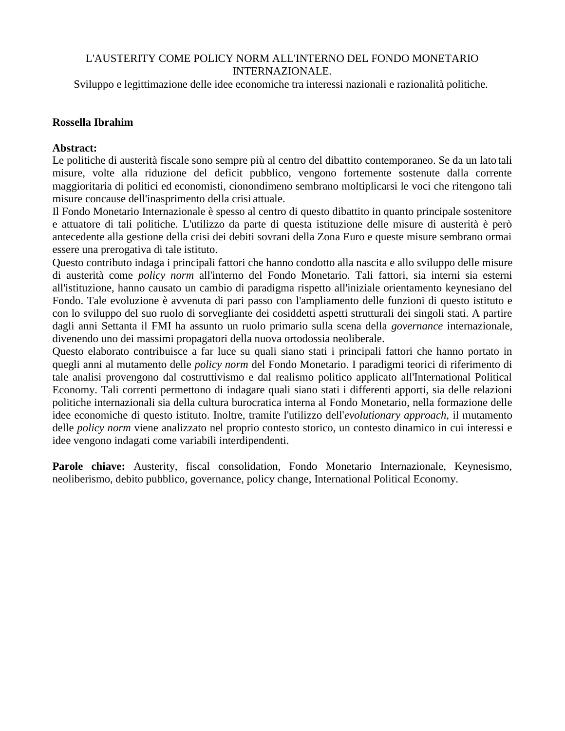## L'AUSTERITY COME POLICY NORM ALL'INTERNO DEL FONDO MONETARIO INTERNAZIONALE.

Sviluppo e legittimazione delle idee economiche tra interessi nazionali e razionalità politiche.

## **Rossella Ibrahim**

## **Abstract:**

Le politiche di austerità fiscale sono sempre più al centro del dibattito contemporaneo. Se da un lato tali misure, volte alla riduzione del deficit pubblico, vengono fortemente sostenute dalla corrente maggioritaria di politici ed economisti, cionondimeno sembrano moltiplicarsi le voci che ritengono tali misure concause dell'inasprimento della crisi attuale.

Il Fondo Monetario Internazionale è spesso al centro di questo dibattito in quanto principale sostenitore e attuatore di tali politiche. L'utilizzo da parte di questa istituzione delle misure di austerità è però antecedente alla gestione della crisi dei debiti sovrani della Zona Euro e queste misure sembrano ormai essere una prerogativa di tale istituto.

Questo contributo indaga i principali fattori che hanno condotto alla nascita e allo sviluppo delle misure di austerità come *policy norm* all'interno del Fondo Monetario. Tali fattori, sia interni sia esterni all'istituzione, hanno causato un cambio di paradigma rispetto all'iniziale orientamento keynesiano del Fondo. Tale evoluzione è avvenuta di pari passo con l'ampliamento delle funzioni di questo istituto e con lo sviluppo del suo ruolo di sorvegliante dei cosiddetti aspetti strutturali dei singoli stati. A partire dagli anni Settanta il FMI ha assunto un ruolo primario sulla scena della *governance* internazionale, divenendo uno dei massimi propagatori della nuova ortodossia neoliberale.

Questo elaborato contribuisce a far luce su quali siano stati i principali fattori che hanno portato in quegli anni al mutamento delle *policy norm* del Fondo Monetario. I paradigmi teorici di riferimento di tale analisi provengono dal costruttivismo e dal realismo politico applicato all'International Political Economy. Tali correnti permettono di indagare quali siano stati i differenti apporti, sia delle relazioni politiche internazionali sia della cultura burocratica interna al Fondo Monetario, nella formazione delle idee economiche di questo istituto. Inoltre, tramite l'utilizzo dell'*evolutionary approach,* il mutamento delle *policy norm* viene analizzato nel proprio contesto storico, un contesto dinamico in cui interessi e idee vengono indagati come variabili interdipendenti.

Parole chiave: Austerity, fiscal consolidation, Fondo Monetario Internazionale, Keynesismo, neoliberismo, debito pubblico, governance, policy change, International Political Economy.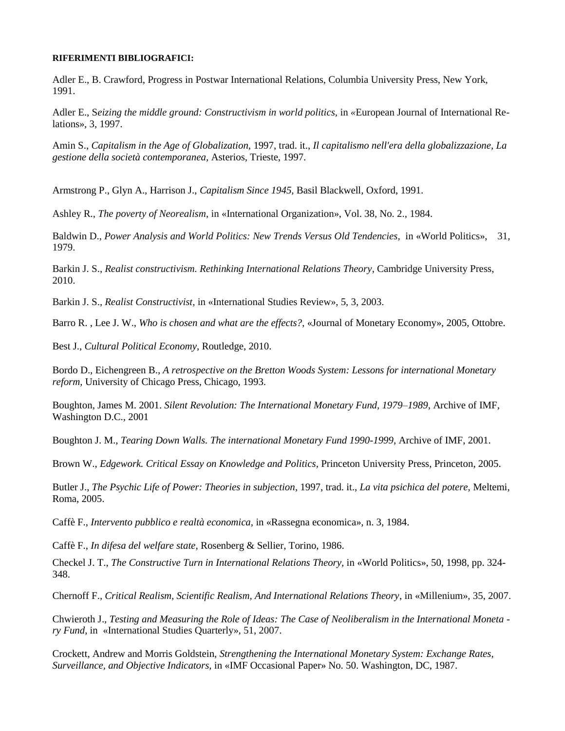## **RIFERIMENTI BIBLIOGRAFICI:**

Adler E., B. Crawford, Progress in Postwar International Relations, Columbia University Press, New York, 1991.

Adler E., S*eizing the middle ground: Constructivism in world politics,* in *«*European Journal of International Relations», 3, 1997.

Amin S., *Capitalism in the Age of Globalization,* 1997, trad. it., *Il capitalismo nell'era della globalizzazione, La gestione della società contemporanea,* Asterios, Trieste, 1997.

Armstrong P., Glyn A., Harrison J., *Capitalism Since 1945,* Basil Blackwell, Oxford, 1991.

Ashley R., *The poverty of Neorealism*, in «International Organization», Vol. 38, No. 2., 1984.

Baldwin D., *Power Analysis and World Politics: New Trends Versus Old Tendencies,* in «World Politics», 31, 1979.

Barkin J. S., *Realist constructivism. Rethinking International Relations Theory*, Cambridge University Press, 2010.

Barkin J. S., *Realist Constructivist,* in «International Studies Review», 5, 3, 2003.

Barro R. , Lee J. W., *Who is chosen and what are the effects?*, «Journal of Monetary Economy», 2005, Ottobre.

Best J., *Cultural Political Economy*, Routledge, 2010.

Bordo D., Eichengreen B., *A retrospective on the Bretton Woods System: Lessons for international Monetary reform,* University of Chicago Press, Chicago, 1993.

Boughton, James M. 2001. *Silent Revolution: The International Monetary Fund, 1979–1989*, Archive of IMF, Washington D.C., 2001

Boughton J. M., *Tearing Down Walls. The international Monetary Fund 1990-1999*, Archive of IMF, 2001.

Brown W., *Edgework. Critical Essay on Knowledge and Politics,* Princeton University Press, Princeton, 2005.

Butler J., *The Psychic Life of Power: Theories in subjection*, 1997, trad. it., *La vita psichica del potere,* Meltemi, Roma, 2005.

Caffè F., *Intervento pubblico e realtà economica,* in «Rassegna economica», n. 3, 1984.

Caffè F., *In difesa del welfare state*, Rosenberg & Sellier, Torino, 1986.

Checkel J. T., *The Constructive Turn in International Relations Theory,* in «World Politics», 50, 1998, pp. 324- 348.

Chernoff F., *Critical Realism, Scientific Realism, And International Relations Theory*, in «Millenium», 35, 2007.

Chwieroth J., *Testing and Measuring the Role of Ideas: The Case of Neoliberalism in the International Moneta ry Fund*, in «International Studies Quarterly», 51, 2007.

Crockett, Andrew and Morris Goldstein, *Strengthening the International Monetary System: Exchange Rates, Surveillance, and Objective Indicators,* in «IMF Occasional Paper» No. 50. Washington, DC, 1987.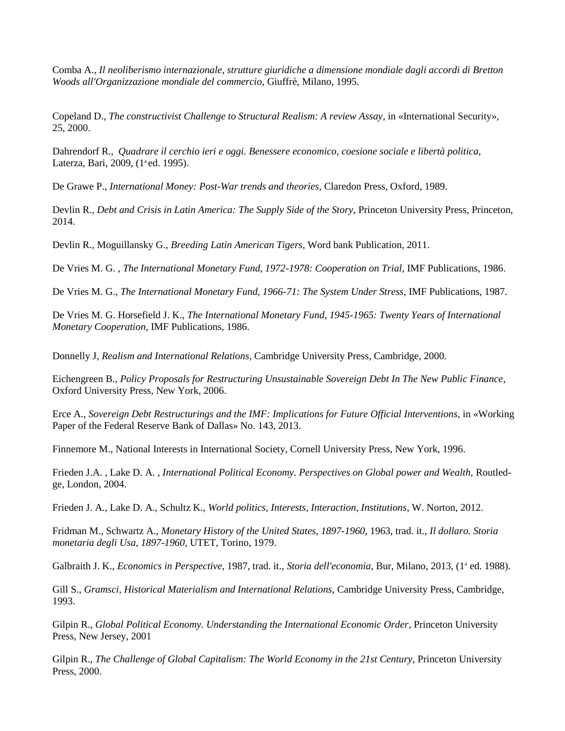Comba A., *Il neoliberismo internazionale, strutture giuridiche a dimensione mondiale dagli accordi di Bretton Woods all'Organizzazione mondiale del commercio,* Giuffrè, Milano, 1995.

Copeland D., *The constructivist Challenge to Structural Realism: A review Assay*, in «International Security», 25, 2000.

Dahrendorf R., *Quadrare il cerchio ieri e oggi. Benessere economico, coesione sociale e libertà politica,* Laterza, Bari, 2009, (1<sup>ª</sup>ed. 1995).

De Grawe P., *International Money: Post-War trends and theories,* Claredon Press, Oxford, 1989.

Devlin R., *Debt and Crisis in Latin America: The Supply Side of the Story*, Princeton University Press, Princeton, 2014.

Devlin R., Moguillansky G., *Breeding Latin American Tigers*, Word bank Publication, 2011.

De Vries M. G. , *The International Monetary Fund, 1972-1978: Cooperation on Trial*, IMF Publications, 1986.

De Vries M. G., *The International Monetary Fund, 1966-71: The System Under Stress*, IMF Publications, 1987.

De Vries M. G. Horsefield J. K., *The International Monetary Fund, 1945-1965: Twenty Years of International Monetary Cooperation*, IMF Publications, 1986.

Donnelly J, *Realism and International Relations*, Cambridge University Press, Cambridge, 2000.

Eichengreen B., *Policy Proposals for Restructuring Unsustainable Sovereign Debt In The New Public Finance*, Oxford University Press, New York, 2006.

Erce A., *Sovereign Debt Restructurings and the IMF: Implications for Future Official Interventions*, in «Working Paper of the Federal Reserve Bank of Dallas» No. 143, 2013.

Finnemore M., National Interests in International Society, Cornell University Press, New York, 1996.

Frieden J.A. , Lake D. A. , *International Political Economy. Perspectives on Global power and Wealth,* Routledge, London, 2004.

Frieden J. A., Lake D. A., Schultz K., *World politics, Interests, Interaction, Institutions*, W. Norton, 2012.

Fridman M., Schwartz A., *Monetary History of the United States, 1897-1960,* 1963, trad. it., *Il dollaro. Storia monetaria degli Usa, 1897-1960,* UTET, Torino, 1979.

Galbraith J. K., *Economics in Perspective*, 1987, trad. it., *Storia dell'economia*, Bur, Milano, 2013, (1<sup>ª</sup> ed. 1988).

Gill S., *Gramsci, Historical Materialism and International Relations*, Cambridge University Press, Cambridge, 1993.

Gilpin R., *Global Political Economy. Understanding the International Economic Order*, Princeton University Press, New Jersey, 2001

Gilpin R., *The Challenge of Global Capitalism: The World Economy in the 21st Century*, Princeton University Press, 2000.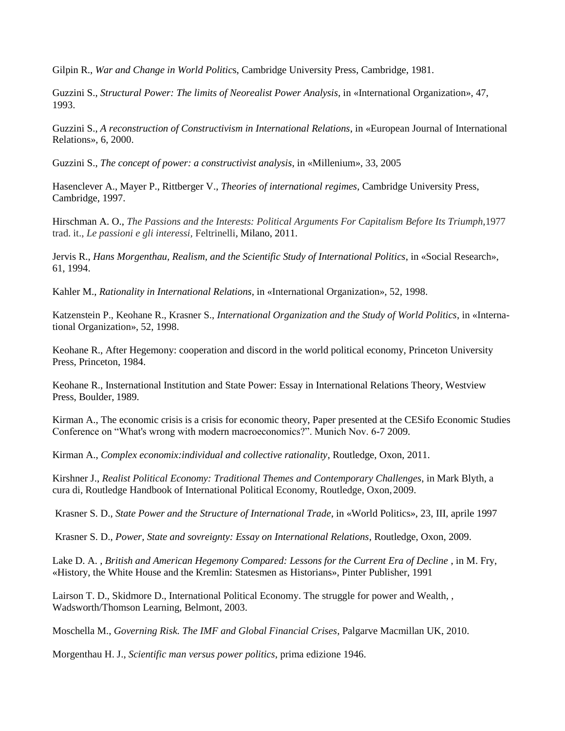Gilpin R., *War and Change in World Politic*s, Cambridge University Press, Cambridge, 1981.

Guzzini S., *Structural Power: The limits of Neorealist Power Analysis*, in «International Organization», 47, 1993.

Guzzini S., *A reconstruction of Constructivism in International Relations*, in «European Journal of International Relations», 6, 2000.

Guzzini S., *The concept of power: a constructivist analysis*, in «Millenium», 33, 2005

Hasenclever A., Mayer P., Rittberger V., *Theories of international regimes,* Cambridge University Press, Cambridge, 1997.

Hirschman A. O., *The Passions and the Interests: Political Arguments For Capitalism Before Its Triumph,*1977 trad. it., *Le passioni e gli interessi,* Feltrinelli*,* Milano, 2011.

Jervis R., *Hans Morgenthau, Realism, and the Scientific Study of International Politics*, in «Social Research», 61, 1994.

Kahler M., *Rationality in International Relations*, in «International Organization», 52, 1998.

Katzenstein P., Keohane R., Krasner S., *International Organization and the Study of World Politics*, in «International Organization», 52, 1998.

Keohane R., After Hegemony: cooperation and discord in the world political economy, Princeton University Press, Princeton, 1984.

Keohane R., Insternational Institution and State Power: Essay in International Relations Theory, Westview Press, Boulder, 1989.

Kirman A., The economic crisis is a crisis for economic theory, Paper presented at the CESifo Economic Studies Conference on "What's wrong with modern macroeconomics?". Munich Nov. 6-7 2009.

Kirman A., *Complex economix:individual and collective rationality*, Routledge, Oxon, 2011.

Kirshner J., *Realist Political Economy: Traditional Themes and Contemporary Challenges*, in Mark Blyth, a cura di, Routledge Handbook of International Political Economy, Routledge, Oxon,2009.

Krasner S. D., *State Power and the Structure of International Trade*, in «World Politics», 23, III, aprile 1997

Krasner S. D., *Power, State and sovreignty: Essay on International Relations*, Routledge, Oxon, 2009.

Lake D. A., *British and American Hegemony Compared: Lessons for the Current Era of Decline*, in M. Fry, «History, the White House and the Kremlin: Statesmen as Historians», Pinter Publisher, 1991

Lairson T. D., Skidmore D., International Political Economy. The struggle for power and Wealth, , Wadsworth/Thomson Learning, Belmont, 2003.

Moschella M., *Governing Risk. The IMF and Global Financial Crises*, Palgarve Macmillan UK, 2010.

Morgenthau H. J., *Scientific man versus power politics*, prima edizione 1946.